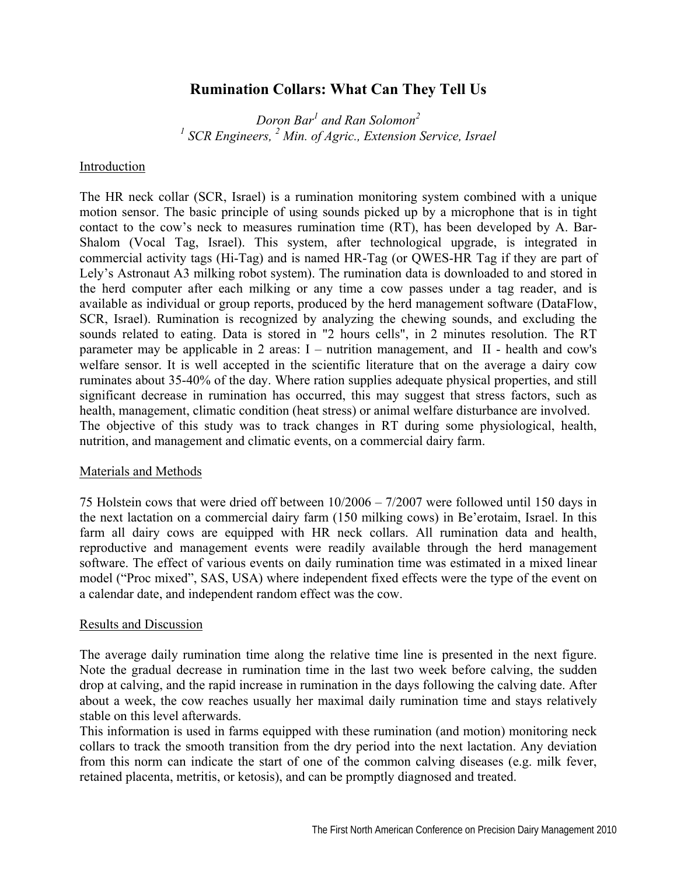# **Rumination Collars: What Can They Tell Us**

*Doron Bar<sup>1</sup> and Ran Solomon<sup>2</sup>* <sup>1</sup> SCR Engineers, <sup>2</sup> Min. of Agric., Extension Service, Israel

### Introduction

The HR neck collar (SCR, Israel) is a rumination monitoring system combined with a unique motion sensor. The basic principle of using sounds picked up by a microphone that is in tight contact to the cow's neck to measures rumination time (RT), has been developed by A. Bar-Shalom (Vocal Tag, Israel). This system, after technological upgrade, is integrated in commercial activity tags (Hi-Tag) and is named HR-Tag (or QWES-HR Tag if they are part of Lely's Astronaut A3 milking robot system). The rumination data is downloaded to and stored in the herd computer after each milking or any time a cow passes under a tag reader, and is available as individual or group reports, produced by the herd management software (DataFlow, SCR, Israel). Rumination is recognized by analyzing the chewing sounds, and excluding the sounds related to eating. Data is stored in "2 hours cells", in 2 minutes resolution. The RT parameter may be applicable in 2 areas: I – nutrition management, and II - health and cow's welfare sensor. It is well accepted in the scientific literature that on the average a dairy cow ruminates about 35-40% of the day. Where ration supplies adequate physical properties, and still significant decrease in rumination has occurred, this may suggest that stress factors, such as health, management, climatic condition (heat stress) or animal welfare disturbance are involved. The objective of this study was to track changes in RT during some physiological, health, nutrition, and management and climatic events, on a commercial dairy farm.

## Materials and Methods

75 Holstein cows that were dried off between 10/2006 – 7/2007 were followed until 150 days in the next lactation on a commercial dairy farm (150 milking cows) in Be'erotaim, Israel. In this farm all dairy cows are equipped with HR neck collars. All rumination data and health, reproductive and management events were readily available through the herd management software. The effect of various events on daily rumination time was estimated in a mixed linear model ("Proc mixed", SAS, USA) where independent fixed effects were the type of the event on a calendar date, and independent random effect was the cow.

## Results and Discussion

The average daily rumination time along the relative time line is presented in the next figure. Note the gradual decrease in rumination time in the last two week before calving, the sudden drop at calving, and the rapid increase in rumination in the days following the calving date. After about a week, the cow reaches usually her maximal daily rumination time and stays relatively stable on this level afterwards.

This information is used in farms equipped with these rumination (and motion) monitoring neck collars to track the smooth transition from the dry period into the next lactation. Any deviation from this norm can indicate the start of one of the common calving diseases (e.g. milk fever, retained placenta, metritis, or ketosis), and can be promptly diagnosed and treated.